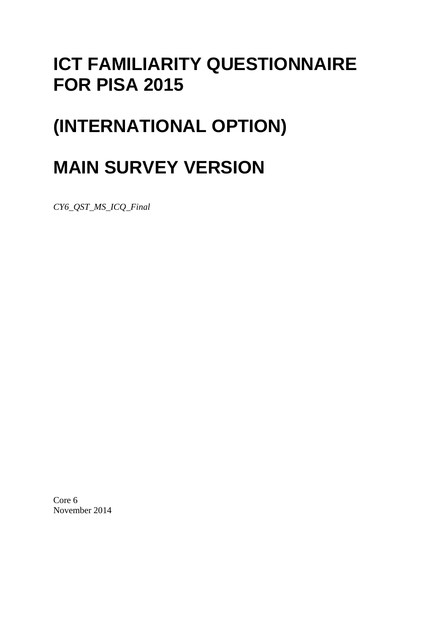## **ICT FAMILIARITY QUESTIONNAIRE FOR PISA 2015**

## **(INTERNATIONAL OPTION)**

# **MAIN SURVEY VERSION**

*CY6\_QST\_MS\_ICQ\_Final*

Core 6 November 2014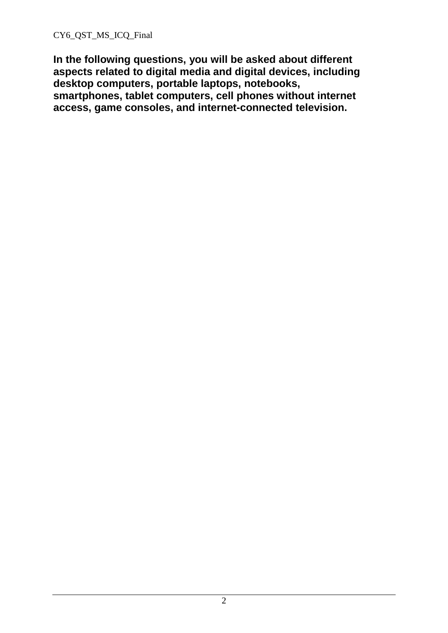**In the following questions, you will be asked about different aspects related to digital media and digital devices, including desktop computers, portable laptops, notebooks, smartphones, tablet computers, cell phones without internet access, game consoles, and internet-connected television.**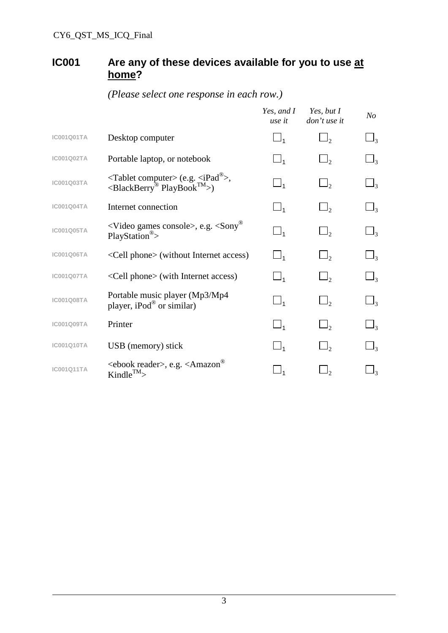#### **IC001 Are any of these devices available for you to use at home?**

|                   |                                                                                                                                | Yes, and I<br>use it | Yes, but I<br>don't use it | N <sub>O</sub>      |
|-------------------|--------------------------------------------------------------------------------------------------------------------------------|----------------------|----------------------------|---------------------|
| <b>IC001Q01TA</b> | Desktop computer                                                                                                               | $\Box_1$             | $\Box$ ,                   | $\Box_3$            |
| <b>IC001Q02TA</b> | Portable laptop, or notebook                                                                                                   | $\Box_1$             | $\Box$ ,                   | $\Box$ 3            |
| <b>IC001Q03TA</b> | $\langle$ Tablet computer> (e.g. $\langle$ iPad <sup>®</sup> >,<br>$\langle$ BlackBerry <sup>®</sup> PlayBook <sup>TM</sup> >) | $\Box_1$             | $\Box$                     | $\Box$ 3            |
| IC001Q04TA        | Internet connection                                                                                                            | $\Box_1$             | $\Box$ <sub>2</sub>        | $\Box$ <sub>3</sub> |
| <b>IC001Q05TA</b> | $\langle$ Video games console>, e.g. $\langle$ Sony®<br>$PlayStation^{\circledR}$                                              | $\Box_1$             | $\Box$ ,                   | $\Box$ 3            |
| <b>IC001Q06TA</b> | <cell phone=""> (without Internet access)</cell>                                                                               | $\Box_1$             | $\Box$ ,                   | $\Box$ 3            |
| IC001Q07TA        | <cell phone=""> (with Internet access)</cell>                                                                                  | $\Box_1$             | $\Box$ ,                   | $\Box_3$            |
| <b>IC001Q08TA</b> | Portable music player (Mp3/Mp4<br>player, iPod <sup>®</sup> or similar)                                                        | $\Box_1$             | $\Box$ ,                   | $\Box_{3}$          |
| <b>IC001Q09TA</b> | Printer                                                                                                                        | $\Box_1$             | $\Box$ ,                   | $\Box$ 3            |
| <b>IC001Q10TA</b> | USB (memory) stick                                                                                                             | $\Box_1$             | $\Box$ ,                   | $\Box$ 3            |
| <b>IC001Q11TA</b> | <ebook reader="">, e.g. <amazon®<br><math>Kindle^{TM}</math></amazon®<br></ebook>                                              |                      |                            | $\Box$ 3            |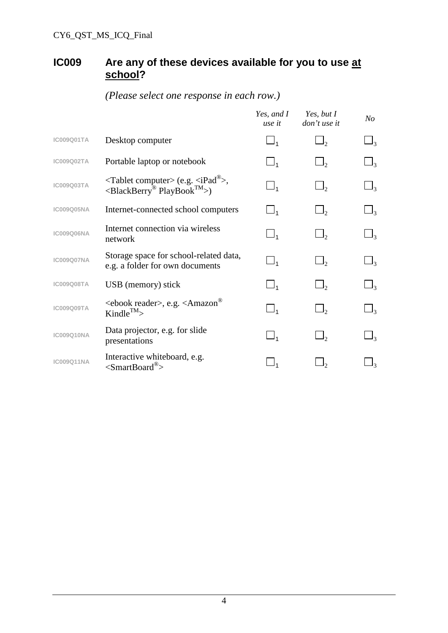#### **IC009 Are any of these devices available for you to use at school?**

|                   |                                                                                                                      | Yes, and I<br>use it   | Yes, but I<br>don't use it | No                    |
|-------------------|----------------------------------------------------------------------------------------------------------------------|------------------------|----------------------------|-----------------------|
| <b>IC009Q01TA</b> | Desktop computer                                                                                                     | $\Box_1$               |                            | $\perp_3$             |
| IC009Q02TA        | Portable laptop or notebook                                                                                          | $\Box_1$               |                            | $\perp$ <sub>3</sub>  |
| <b>IC009Q03TA</b> | $\langle$ Tablet computer> (e.g. $\langle$ iPad $^{\circledR}$ >,<br>$\langle$ BlackBerry® PlayBook <sup>TM</sup> >) | $\Box_1$               | $\Box_2$                   | $\Box_3$              |
| <b>IC009Q05NA</b> | Internet-connected school computers                                                                                  | $\Box_1$               | $\Box$ ,                   | $\Box_3$              |
| <b>IC009Q06NA</b> | Internet connection via wireless<br>network                                                                          | $\Box_1$               | $\Box$ ,                   | $\Box_3$              |
| <b>IC009Q07NA</b> | Storage space for school-related data,<br>e.g. a folder for own documents                                            | $\square_{\mathbf{1}}$ | $\Box$ <sub>2</sub>        | $\sqcup_{3}$          |
| <b>IC009Q08TA</b> | USB (memory) stick                                                                                                   | $\Box_1$               | $\Box$ ,                   | $\sqcup$ <sub>3</sub> |
| <b>IC009Q09TA</b> | <ebook reader="">, e.g. <amazon®<br>Kindle<sup>TM</sup>&gt;</amazon®<br></ebook>                                     | $\Box_1$               |                            | $\perp$ 3             |
| <b>IC009Q10NA</b> | Data projector, e.g. for slide<br>presentations                                                                      | $\Box_1$               | $\Box$ ,                   | $\Box_3$              |
| <b>IC009Q11NA</b> | Interactive whiteboard, e.g.<br>$\leq$ SmartBoard <sup>®</sup> >                                                     |                        |                            |                       |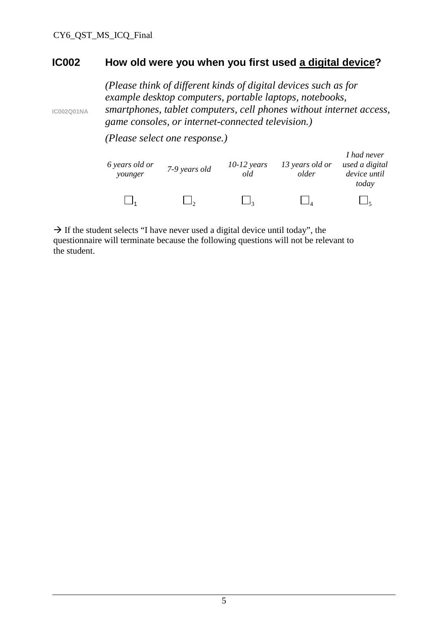**IC002Q01NA**

#### **IC002 How old were you when you first used a digital device?**

*(Please think of different kinds of digital devices such as for example desktop computers, portable laptops, notebooks, smartphones, tablet computers, cell phones without internet access, game consoles, or internet-connected television.)*

*(Please select one response.)*

| 6 years old or<br>younger | 7-9 years old | $10-12$ years<br>old | 13 years old or<br>older | I had never<br>used a digital<br>device until<br>today |
|---------------------------|---------------|----------------------|--------------------------|--------------------------------------------------------|
|                           |               |                      |                          |                                                        |

 $\rightarrow$  If the student selects "I have never used a digital device until today", the questionnaire will terminate because the following questions will not be relevant to the student.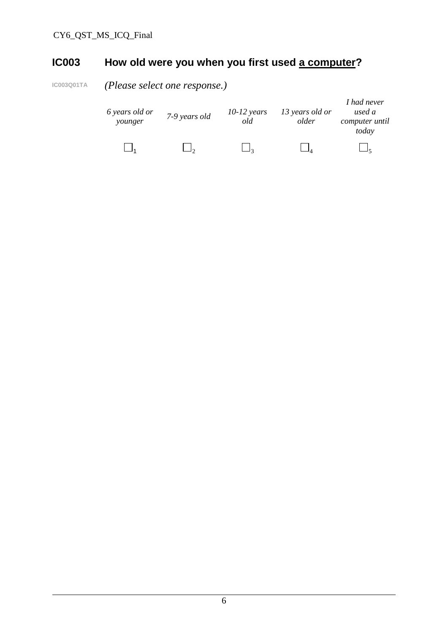### **IC003 How old were you when you first used a computer?**

**IC003Q01TA** *(Please select one response.)*

| 6 years old or<br>younger | 7-9 years old | $10-12$ years<br>old | 13 years old or<br>older | I had never<br>used a<br>computer until<br>today |
|---------------------------|---------------|----------------------|--------------------------|--------------------------------------------------|
|                           |               |                      |                          |                                                  |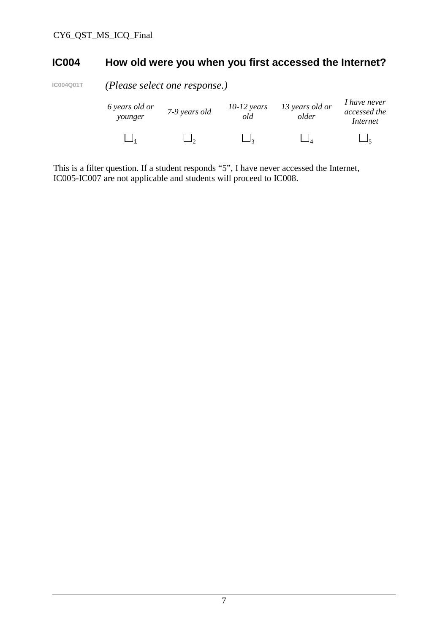#### **IC004 How old were you when you first accessed the Internet?**

**IC004Q01T** *(Please select one response.)*

| 6 years old or<br>younger | 7-9 years old | $10-12$ years<br>old | 13 years old or<br>older | I have never<br>accessed the<br>Internet |  |
|---------------------------|---------------|----------------------|--------------------------|------------------------------------------|--|
|                           |               |                      |                          |                                          |  |

This is a filter question. If a student responds "5", I have never accessed the Internet, IC005-IC007 are not applicable and students will proceed to IC008.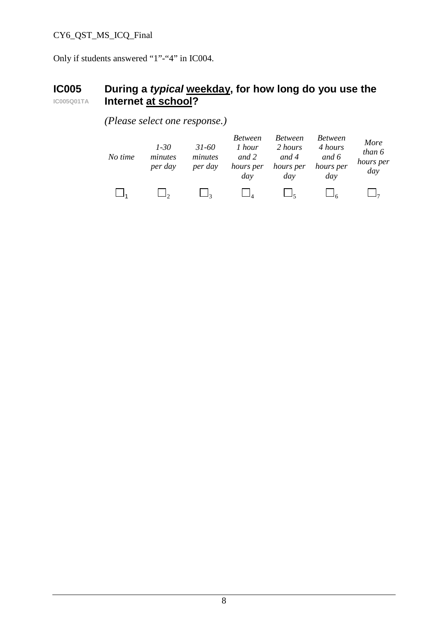#### CY6\_QST\_MS\_ICQ\_Final

Only if students answered "1"-"4" in IC004.

#### **IC005 IC005Q01TA During a** *typical* **weekday, for how long do you use the Internet at school?**

*(Please select one response.)*

| No time | $1 - 30$<br>minutes<br>per day | $31 - 60$<br>minutes<br>per day | <i>Between</i><br>1 hour<br>and 2<br>hours per<br>day | <b>Between</b><br>2 hours<br>and 4<br>hours per<br>day | <b>Between</b><br>4 hours<br>and 6<br>hours per<br>day | More<br>than 6<br>hours per<br>day |
|---------|--------------------------------|---------------------------------|-------------------------------------------------------|--------------------------------------------------------|--------------------------------------------------------|------------------------------------|
|         |                                |                                 |                                                       |                                                        |                                                        |                                    |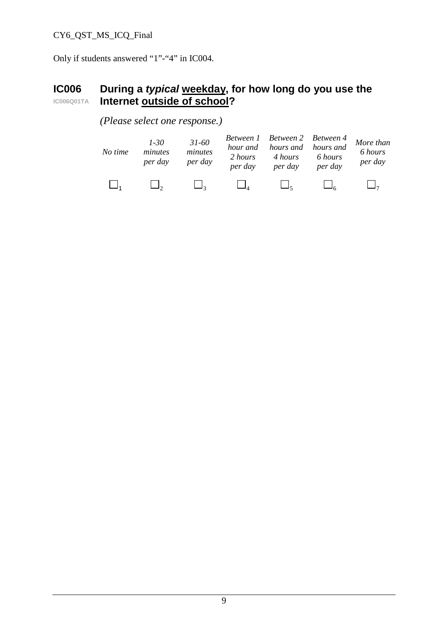#### CY6\_QST\_MS\_ICQ\_Final

Only if students answered "1"-"4" in IC004.

#### **IC006 IC006Q01TA During a** *typical* **weekday, for how long do you use the Internet outside of school?**

#### *(Please select one response.)*

| No time | 1-30<br>minutes<br>per day | $31 - 60$<br>minutes<br>per day | Between 1 Between 2 Between 4 More than<br>2 hours<br>per day | hour and hours and hours and<br>4 hours<br>per day | 6 hours<br>per day | 6 hours<br>per day |
|---------|----------------------------|---------------------------------|---------------------------------------------------------------|----------------------------------------------------|--------------------|--------------------|
|         |                            |                                 |                                                               |                                                    |                    |                    |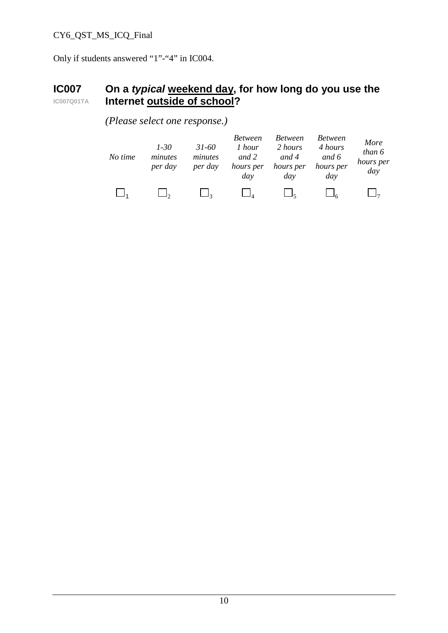#### CY6\_QST\_MS\_ICQ\_Final

Only if students answered "1"-"4" in IC004.

#### **IC007 IC007Q01TA On a** *typical* **weekend day, for how long do you use the Internet outside of school?**

| No time | $1 - 30$<br>minutes<br>per day | $31 - 60$<br>minutes<br>per day | <b>Between</b><br>1 hour<br>and 2<br>hours per<br>day | <b>Between</b><br>2 hours<br>and 4<br>hours per<br>day | <b>Between</b><br>4 hours<br>and 6<br>hours per<br>day | More<br>than 6<br>hours per<br>day |
|---------|--------------------------------|---------------------------------|-------------------------------------------------------|--------------------------------------------------------|--------------------------------------------------------|------------------------------------|
|         |                                |                                 |                                                       |                                                        |                                                        |                                    |

*(Please select one response.)*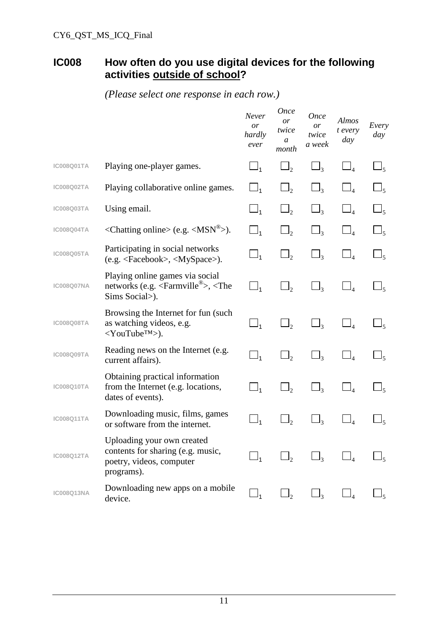### **IC008 How often do you use digital devices for the following activities outside of school?**

|                   |                                                                                                                       | Never<br>or<br>hardly<br>ever | <b>Once</b><br>or<br>twice<br>a<br>month | <b>Once</b><br>or<br>twice<br>a week | Almos<br>t every<br>day | Every<br>day         |
|-------------------|-----------------------------------------------------------------------------------------------------------------------|-------------------------------|------------------------------------------|--------------------------------------|-------------------------|----------------------|
| <b>IC008Q01TA</b> | Playing one-player games.                                                                                             | $\Box_1$                      | $\Box$                                   | $\Box$ 3                             | $\Box_4$                | $\Box_{5}$           |
| <b>IC008Q02TA</b> | Playing collaborative online games.                                                                                   | $\square_1$                   | $\Box_2$                                 | $\Box$ <sub>3</sub>                  | $\Box_4$                | $\Box_{5}$           |
| <b>IC008Q03TA</b> | Using email.                                                                                                          |                               | $\Box$ ,                                 |                                      |                         |                      |
| <b>IC008Q04TA</b> | <chatting online=""> (e.g. <math>\langle</math>MSN<sup>®</sup>&gt;).</chatting>                                       | $\Box_1$                      | $\Box$ <sub>2</sub>                      | $\Box$ <sub>3</sub>                  | $\Box_4$                | $\Box_5$             |
| <b>IC008Q05TA</b> | Participating in social networks<br>(e.g. <facebook>, <myspace>).</myspace></facebook>                                | $\Box_1$                      | $\Box_2$                                 | $\Box_3$                             |                         | ⊾م                   |
| <b>IC008Q07NA</b> | Playing online games via social<br>networks (e.g. $\langle$ Farmville <sup>®</sup> >, $\langle$ The<br>Sims Social>). | $\square_1$                   | $\Box_2$                                 | $\sqcup$ 3                           |                         | $\Box_5$             |
| <b>IC008Q08TA</b> | Browsing the Internet for fun (such<br>as watching videos, e.g.<br>$<$ YouTube <sup>TM</sup> >).                      | $\Box_1$                      | $\Box$ ,                                 | $\Box_{3}$                           | $\Box_4$                | $\Box_{5}$           |
| <b>IC008Q09TA</b> | Reading news on the Internet (e.g.<br>current affairs).                                                               | $\Box_1$                      | $\Box$ ,                                 | $\Box_3$                             | $\Box_4$                | $\sqcup_{5}$         |
| <b>IC008Q10TA</b> | Obtaining practical information<br>from the Internet (e.g. locations,<br>dates of events).                            | $\Box_1$                      | $\Box$ <sub>2</sub>                      | $\Box_3$                             | $\Box_4$                | $\sqcup_{\varsigma}$ |
| <b>IC008Q11TA</b> | Downloading music, films, games<br>or software from the internet.                                                     | $\Box_1$                      | $\Box_2$                                 | $\sqcup_{\mathfrak{Z}}$              |                         | ۽ ل                  |
| <b>IC008Q12TA</b> | Uploading your own created<br>contents for sharing (e.g. music,<br>poetry, videos, computer<br>programs).             | $\Box_1$                      |                                          | $J_3$                                |                         |                      |
| <b>IC008Q13NA</b> | Downloading new apps on a mobile<br>device.                                                                           | $\Box_1$                      | $\Box_2$                                 | $\sqcup_3$                           |                         |                      |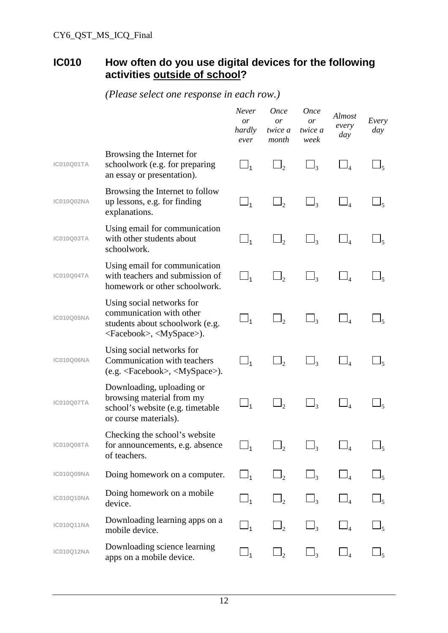### **IC010 How often do you use digital devices for the following activities outside of school?**

|                   |                                                                                                                                          | Never<br><i>or</i><br>hardly<br>ever | <i>Once</i><br>or<br>twice a<br>month | <b>Once</b><br>or<br>twice a<br>week | Almost<br>every<br>day | Every<br>day     |
|-------------------|------------------------------------------------------------------------------------------------------------------------------------------|--------------------------------------|---------------------------------------|--------------------------------------|------------------------|------------------|
| IC010Q01TA        | Browsing the Internet for<br>schoolwork (e.g. for preparing<br>an essay or presentation).                                                | $\Box_1$                             | $\Box$ ,                              | $\Box_{3}$                           | $\Box_4$               | $\Box_5$         |
| IC010Q02NA        | Browsing the Internet to follow<br>up lessons, e.g. for finding<br>explanations.                                                         | $\sqcup_1$                           | $\Box$                                | $\Box_3$                             | $\Box_4$               | $-$ <sub>5</sub> |
| <b>IC010Q03TA</b> | Using email for communication<br>with other students about<br>schoolwork.                                                                | $\sqcup_1$                           | $\mathsf{J}_2$                        | $\Box_3$                             | $\Box_4$               |                  |
| IC010Q04TA        | Using email for communication<br>with teachers and submission of<br>homework or other schoolwork.                                        | $\Box_1$                             | $\Box$                                | $\Box_{3}$                           |                        |                  |
| <b>IC010Q05NA</b> | Using social networks for<br>communication with other<br>students about schoolwork (e.g.<br><facebook>, <myspace>).</myspace></facebook> | $\Box_1$                             | $\Box$                                | $\Box_3$                             | $\Box_4$               | $\Box_5$         |
| <b>IC010Q06NA</b> | Using social networks for<br>Communication with teachers<br>$(e.g. , $                                                                   | $\Box_1$                             | $\Box$                                | $\Box_3$                             |                        | $\Box_{5}$       |
| IC010Q07TA        | Downloading, uploading or<br>browsing material from my<br>school's website (e.g. timetable<br>or course materials).                      | $\_I_1$                              |                                       | $\Box$ <sub>3</sub>                  |                        | $-$ 5            |
| IC010Q08TA        | Checking the school's website<br>for announcements, e.g. absence<br>of teachers.                                                         | $\Box_1$                             | $\Box_2$                              | $\Box_3$                             | $\Box_4$               | $\sqcup_5$       |
| IC010Q09NA        | Doing homework on a computer.                                                                                                            | $\Box_1$                             | $\Box_2$                              | $\Box_3$                             | $\Box_4$               | $\Box_5$         |
| IC010Q10NA        | Doing homework on a mobile<br>device.                                                                                                    | $\Box_1$                             | $\Box$ <sub>2</sub>                   | $\Box_3$                             | $\Box_4$               | $\mathsf{I}_5$   |
| IC010Q11NA        | Downloading learning apps on a<br>mobile device.                                                                                         | $\sqcup_{\mathfrak 1}$               | $\Box$ <sub>2</sub>                   | $\Box_3$                             | $\Box_4$               | $\Box_5$         |
| IC010Q12NA        | Downloading science learning<br>apps on a mobile device.                                                                                 | $\sqcup_1$                           | $\Box$ <sub>2</sub>                   | $\Box$ <sub>3</sub>                  | $\Box_4$               | $\Box_5$         |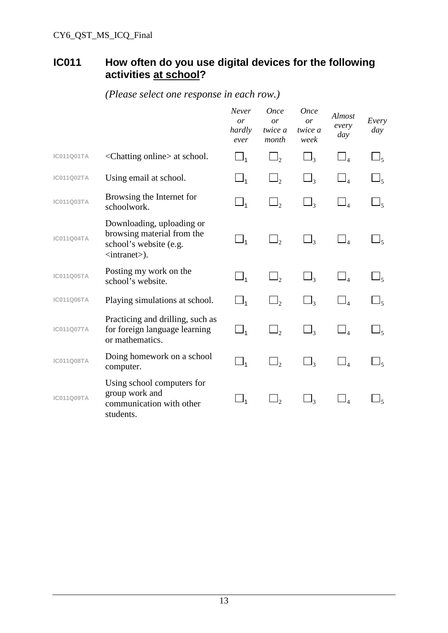### **IC011 How often do you use digital devices for the following activities at school?**

|                   |                                                                                                                      | Never<br>or<br>hardly<br>ever     | <i>Once</i><br>or<br>twice a<br>month | <b>Once</b><br>or<br>twice a<br>week | Almost<br>every<br>day | Every<br>day         |
|-------------------|----------------------------------------------------------------------------------------------------------------------|-----------------------------------|---------------------------------------|--------------------------------------|------------------------|----------------------|
| <b>IC011Q01TA</b> | <chatting online=""> at school.</chatting>                                                                           | $\Box_1$                          | $\Box$ <sub>2</sub>                   | $\Box_3$                             | $\Box_4$               | $\Box_{5}$           |
| <b>IC011Q02TA</b> | Using email at school.                                                                                               | $\Box_1$                          | $\Box_2$                              | $\Box$ 3                             | $\mathbb{I}_4$         | $\sqcup_{\varsigma}$ |
| IC011Q03TA        | Browsing the Internet for<br>schoolwork.                                                                             | $\Box_1$                          | $\Box$ ,                              | $\Box$ <sub>3</sub>                  | $\bar{\square}_4$      | $\Box_{5}$           |
| <b>IC011Q04TA</b> | Downloading, uploading or<br>browsing material from the<br>school's website (e.g.<br>$\langle$ intranet $\rangle$ ). | $\Box_1$                          | $\Box_2$                              | $\Box$ 3                             | $\Box_4$               | $\Box_{5}$           |
| <b>IC011Q05TA</b> | Posting my work on the<br>school's website.                                                                          | $\square_{\scriptscriptstyle{1}}$ | $\Box$ ,                              | $\Box_3$                             | $\Box_4$               | $\Box_5$             |
| <b>IC011Q06TA</b> | Playing simulations at school.                                                                                       | $\Box_1$                          | $\Box$ <sub>2</sub>                   | $\Box_3$                             | $\Box_4$               | $\Box_{5}$           |
| <b>IC011Q07TA</b> | Practicing and drilling, such as<br>for foreign language learning<br>or mathematics.                                 | $\square_{\scriptscriptstyle{1}}$ | $\Box$ ,                              | $\Box$ 3                             | $\Box_4$               | $\Box_{\varsigma}$   |
| <b>IC011Q08TA</b> | Doing homework on a school<br>computer.                                                                              | $\Box_1$                          | $\Box_2$                              | $\Box$ 3                             | $\Box_4$               |                      |
| <b>IC011Q09TA</b> | Using school computers for<br>group work and<br>communication with other<br>students.                                | $\Box_1$                          | $\Box_2$                              | $\Box_3$                             | $\mathbb{I}_4$         |                      |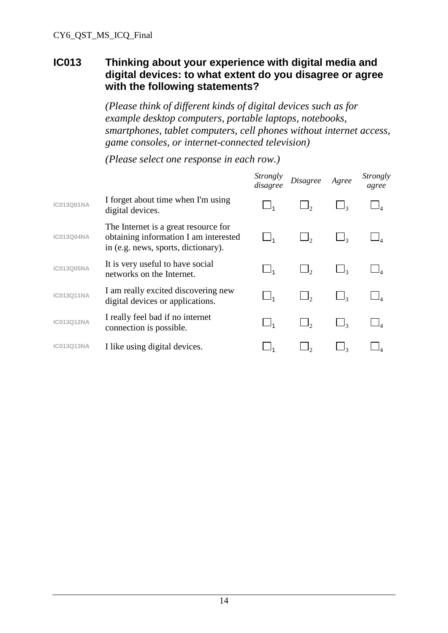#### **IC013 Thinking about your experience with digital media and digital devices: to what extent do you disagree or agree with the following statements?**

*(Please think of different kinds of digital devices such as for example desktop computers, portable laptops, notebooks, smartphones, tablet computers, cell phones without internet access, game consoles, or internet-connected television)*

|                   |                                                                                                                      | <i>Strongly</i><br>disagree | <b>Disagree</b> | Agree | Strongly<br>agree |
|-------------------|----------------------------------------------------------------------------------------------------------------------|-----------------------------|-----------------|-------|-------------------|
| <b>IC013Q01NA</b> | I forget about time when I'm using<br>digital devices.                                                               |                             |                 |       |                   |
| <b>IC013Q04NA</b> | The Internet is a great resource for<br>obtaining information I am interested<br>in (e.g. news, sports, dictionary). |                             |                 |       |                   |
| <b>IC013Q05NA</b> | It is very useful to have social<br>networks on the Internet.                                                        |                             |                 |       |                   |
| <b>IC013Q11NA</b> | I am really excited discovering new<br>digital devices or applications.                                              |                             |                 |       |                   |
| IC013Q12NA        | I really feel bad if no internet<br>connection is possible.                                                          |                             |                 |       |                   |
| <b>IC013Q13NA</b> | I like using digital devices.                                                                                        |                             |                 |       |                   |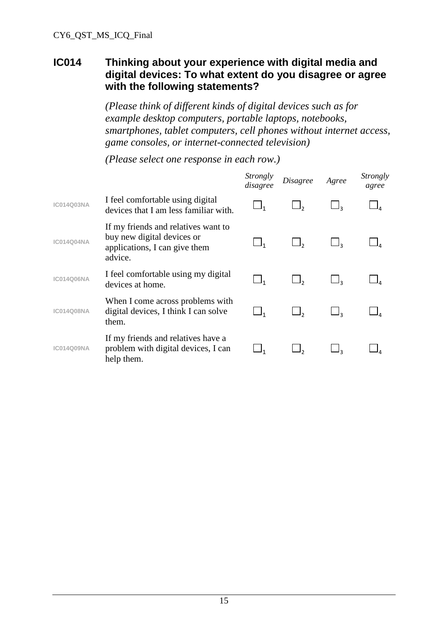#### **IC014 Thinking about your experience with digital media and digital devices: To what extent do you disagree or agree with the following statements?**

*(Please think of different kinds of digital devices such as for example desktop computers, portable laptops, notebooks, smartphones, tablet computers, cell phones without internet access, game consoles, or internet-connected television)*

|                   |                                                                                                               | Strongly<br>disagree | Disagree | Agree | Strongly<br>agree |
|-------------------|---------------------------------------------------------------------------------------------------------------|----------------------|----------|-------|-------------------|
| <b>IC014Q03NA</b> | I feel comfortable using digital<br>devices that I am less familiar with.                                     |                      |          |       |                   |
| <b>IC014Q04NA</b> | If my friends and relatives want to<br>buy new digital devices or<br>applications, I can give them<br>advice. | ∟4                   |          |       |                   |
| <b>IC014Q06NA</b> | I feel comfortable using my digital<br>devices at home.                                                       | $\Box$ <sub>1</sub>  |          |       |                   |
| <b>IC014Q08NA</b> | When I come across problems with<br>digital devices, I think I can solve<br>them.                             |                      |          |       |                   |
| <b>IC014Q09NA</b> | If my friends and relatives have a<br>problem with digital devices, I can<br>help them.                       |                      |          |       |                   |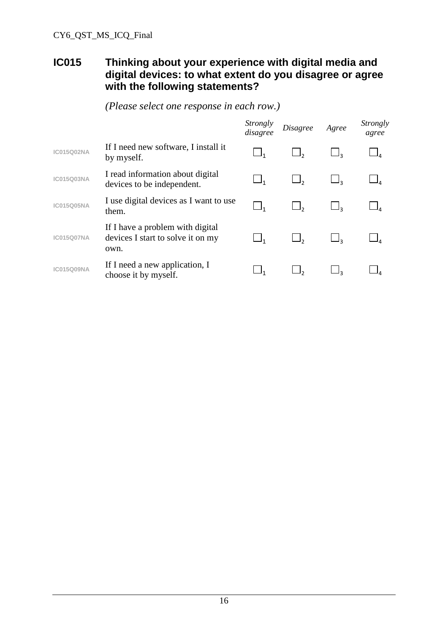#### **IC015 Thinking about your experience with digital media and digital devices: to what extent do you disagree or agree with the following statements?**

|                   |                                                                               | <i>Strongly</i><br>disagree | <b>Disagree</b> | Agree | Strongly<br>agree |
|-------------------|-------------------------------------------------------------------------------|-----------------------------|-----------------|-------|-------------------|
| <b>IC015Q02NA</b> | If I need new software, I install it<br>by myself.                            |                             |                 |       |                   |
| <b>IC015Q03NA</b> | I read information about digital<br>devices to be independent.                |                             |                 |       |                   |
| <b>IC015Q05NA</b> | I use digital devices as I want to use<br>them.                               |                             |                 |       |                   |
| <b>IC015Q07NA</b> | If I have a problem with digital<br>devices I start to solve it on my<br>own. |                             | $\Box$ ,        |       |                   |
| <b>IC015Q09NA</b> | If I need a new application, I<br>choose it by myself.                        |                             |                 |       |                   |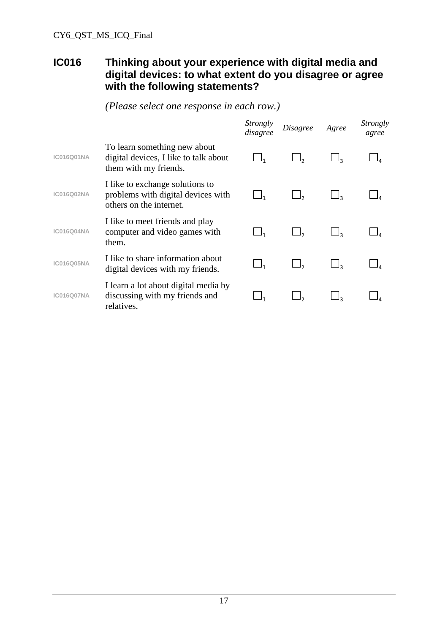#### **IC016 Thinking about your experience with digital media and digital devices: to what extent do you disagree or agree with the following statements?**

*Strongly disagree Disagree Agree Strongly agree* **IC016Q01NA** To learn something new about digital devices, I like to talk about them with my friends. 1  $\Box$ 2  $\Box$ 3  $\Box$ 4 **IC016Q02NA** I like to exchange solutions to problems with digital devices with others on the internet. 1  $\sqcup_2$   $\sqcup_3$   $\sqcup_4$ **IC016Q04NA** I like to meet friends and play computer and video games with them. 1  $\Box$ 2  $\Box$ 3  $\Box$ 4 **IC016Q05NA** I like to share information about digital devices with my friends.  $\Box_1$   $\Box_2$   $\Box_3$   $\Box_4$ **IC016Q07NA** I learn a lot about digital media by discussing with my friends and relatives. 1  $\Box$ 2  $\Box$ 3  $\Box$ 4